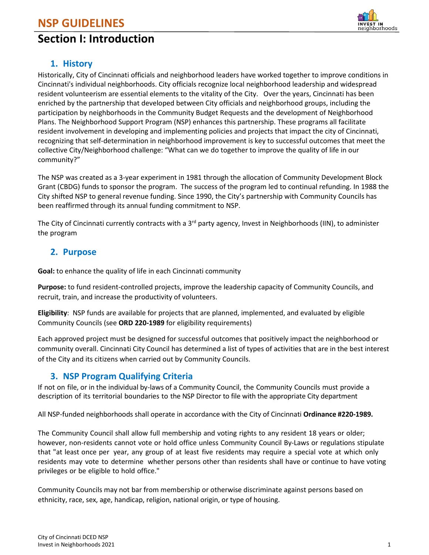# **NSP GUIDELINES**

# **Section I: Introduction**



## **1. History**

Historically, City of Cincinnati officials and neighborhood leaders have worked together to improve conditions in Cincinnati's individual neighborhoods. City officials recognize local neighborhood leadership and widespread resident volunteerism are essential elements to the vitality of the City. Over the years, Cincinnati has been enriched by the partnership that developed between City officials and neighborhood groups, including the participation by neighborhoods in the Community Budget Requests and the development of Neighborhood Plans. The Neighborhood Support Program (NSP) enhances this partnership. These programs all facilitate resident involvement in developing and implementing policies and projects that impact the city of Cincinnati, recognizing that self-determination in neighborhood improvement is key to successful outcomes that meet the collective City/Neighborhood challenge: "What can we do together to improve the quality of life in our community?"

The NSP was created as a 3-year experiment in 1981 through the allocation of Community Development Block Grant (CBDG) funds to sponsor the program. The success of the program led to continual refunding. In 1988 the City shifted NSP to general revenue funding. Since 1990, the City's partnership with Community Councils has been reaffirmed through its annual funding commitment to NSP.

The City of Cincinnati currently contracts with a 3<sup>rd</sup> party agency, Invest in Neighborhoods (IIN), to administer the program

## **2. Purpose**

**Goal:** to enhance the quality of life in each Cincinnati community

**Purpose:** to fund resident-controlled projects, improve the leadership capacity of Community Councils, and recruit, train, and increase the productivity of volunteers.

**Eligibility**: NSP funds are available for projects that are planned, implemented, and evaluated by eligible Community Councils (see **ORD 220-1989** for eligibility requirements)

Each approved project must be designed for successful outcomes that positively impact the neighborhood or community overall. Cincinnati City Council has determined a list of types of activities that are in the best interest of the City and its citizens when carried out by Community Councils.

## **3. NSP Program Qualifying Criteria**

If not on file, or in the individual by-laws of a Community Council, the Community Councils must provide a description of its territorial boundaries to the NSP Director to file with the appropriate City department

All NSP-funded neighborhoods shall operate in accordance with the City of Cincinnati **Ordinance #220-1989.**

The Community Council shall allow full membership and voting rights to any resident 18 years or older; however, non-residents cannot vote or hold office unless Community Council By-Laws or regulations stipulate that "at least once per year, any group of at least five residents may require a special vote at which only residents may vote to determine whether persons other than residents shall have or continue to have voting privileges or be eligible to hold office."

Community Councils may not bar from membership or otherwise discriminate against persons based on ethnicity, race, sex, age, handicap, religion, national origin, or type of housing.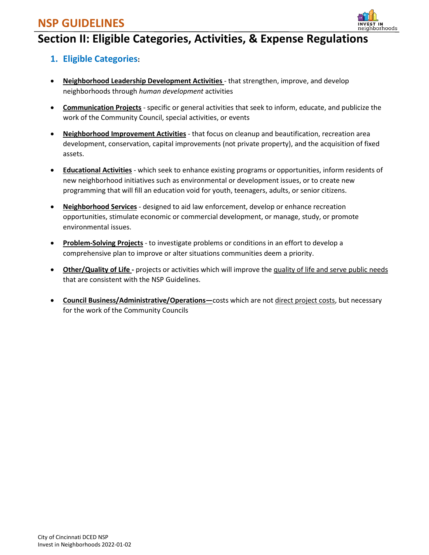# **NSP GUIDELINES**



# **Section II: Eligible Categories, Activities, & Expense Regulations**

# **1. Eligible Categories:**

- **Neighborhood Leadership Development Activities**  that strengthen, improve, and develop neighborhoods through *human development* activities
- **Communication Projects** specific or general activities that seek to inform, educate, and publicize the work of the Community Council, special activities, or events
- **Neighborhood Improvement Activities** that focus on cleanup and beautification, recreation area development, conservation, capital improvements (not private property), and the acquisition of fixed assets.
- **Educational Activities** which seek to enhance existing programs or opportunities, inform residents of new neighborhood initiatives such as environmental or development issues, or to create new programming that will fill an education void for youth, teenagers, adults, or senior citizens.
- **Neighborhood Services** designed to aid law enforcement, develop or enhance recreation opportunities, stimulate economic or commercial development, or manage, study, or promote environmental issues.
- **Problem-Solving Projects** to investigate problems or conditions in an effort to develop a comprehensive plan to improve or alter situations communities deem a priority.
- **Other/Quality of Life -** projects or activities which will improve the quality of life and serve public needs that are consistent with the NSP Guidelines.
- **Council Business/Administrative/Operations—**costs which are not direct project costs, but necessary for the work of the Community Councils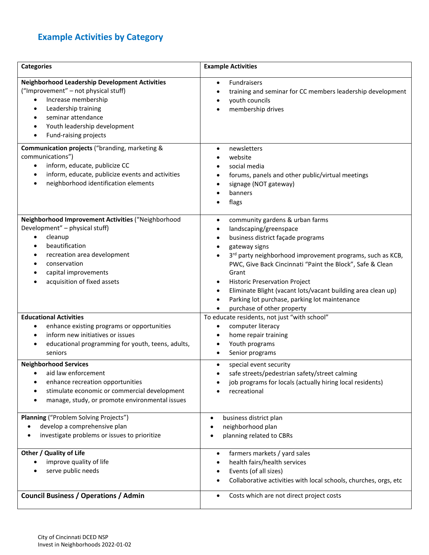# **Example Activities by Category**

| <b>Categories</b>                                                                                                                                                                                                                                                                           | <b>Example Activities</b>                                                                                                                                                                                                                                                                                                                                                                                                                                                                                    |
|---------------------------------------------------------------------------------------------------------------------------------------------------------------------------------------------------------------------------------------------------------------------------------------------|--------------------------------------------------------------------------------------------------------------------------------------------------------------------------------------------------------------------------------------------------------------------------------------------------------------------------------------------------------------------------------------------------------------------------------------------------------------------------------------------------------------|
| <b>Neighborhood Leadership Development Activities</b><br>("Improvement" - not physical stuff)<br>Increase membership<br>$\bullet$<br>Leadership training<br>$\bullet$<br>seminar attendance<br>$\bullet$<br>Youth leadership development<br>$\bullet$<br>Fund-raising projects<br>$\bullet$ | <b>Fundraisers</b><br>$\bullet$<br>training and seminar for CC members leadership development<br>٠<br>youth councils<br>membership drives<br>$\bullet$                                                                                                                                                                                                                                                                                                                                                       |
| Communication projects ("branding, marketing &<br>communications")<br>inform, educate, publicize CC<br>$\bullet$<br>inform, educate, publicize events and activities<br>$\bullet$<br>neighborhood identification elements<br>$\bullet$                                                      | newsletters<br>$\bullet$<br>website<br>social media<br>forums, panels and other public/virtual meetings<br>signage (NOT gateway)<br>$\bullet$<br>banners<br>flags<br>$\bullet$                                                                                                                                                                                                                                                                                                                               |
| Neighborhood Improvement Activities ("Neighborhood<br>Development" - physical stuff)<br>cleanup<br>$\bullet$<br>beautification<br>$\bullet$<br>recreation area development<br>$\bullet$<br>conservation<br>$\bullet$<br>capital improvements<br>$\bullet$<br>acquisition of fixed assets    | community gardens & urban farms<br>$\bullet$<br>landscaping/greenspace<br>$\bullet$<br>business district façade programs<br>$\bullet$<br>gateway signs<br>٠<br>3rd party neighborhood improvement programs, such as KCB,<br>$\bullet$<br>PWC, Give Back Cincinnati "Paint the Block", Safe & Clean<br>Grant<br><b>Historic Preservation Project</b><br>٠<br>Eliminate Blight (vacant lots/vacant building area clean up)<br>٠<br>Parking lot purchase, parking lot maintenance<br>purchase of other property |
| <b>Educational Activities</b><br>enhance existing programs or opportunities<br>$\bullet$<br>inform new initiatives or issues<br>$\bullet$<br>educational programming for youth, teens, adults,<br>$\bullet$<br>seniors                                                                      | To educate residents, not just "with school"<br>computer literacy<br>$\bullet$<br>home repair training<br>٠<br>Youth programs<br>$\bullet$<br>Senior programs<br>$\bullet$                                                                                                                                                                                                                                                                                                                                   |
| <b>Neighborhood Services</b><br>aid law enforcement<br>٠<br>enhance recreation opportunities<br>٠<br>stimulate economic or commercial development<br>manage, study, or promote environmental issues                                                                                         | special event security<br>$\bullet$<br>safe streets/pedestrian safety/street calming<br>job programs for locals (actually hiring local residents)<br>recreational                                                                                                                                                                                                                                                                                                                                            |
| Planning ("Problem Solving Projects")<br>develop a comprehensive plan<br>investigate problems or issues to prioritize                                                                                                                                                                       | business district plan<br>٠<br>neighborhood plan<br>planning related to CBRs                                                                                                                                                                                                                                                                                                                                                                                                                                 |
| Other / Quality of Life<br>improve quality of life<br>$\bullet$<br>serve public needs<br>٠                                                                                                                                                                                                  | farmers markets / yard sales<br>$\bullet$<br>health fairs/health services<br>Events (of all sizes)<br>٠<br>Collaborative activities with local schools, churches, orgs, etc                                                                                                                                                                                                                                                                                                                                  |
| <b>Council Business / Operations / Admin</b>                                                                                                                                                                                                                                                | Costs which are not direct project costs<br>$\bullet$                                                                                                                                                                                                                                                                                                                                                                                                                                                        |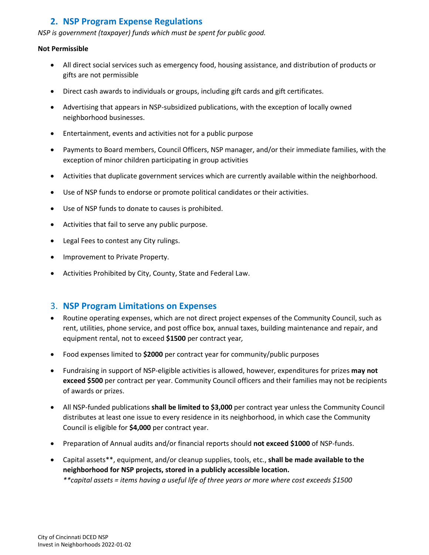## **2. NSP Program Expense Regulations**

#### *NSP is government (taxpayer) funds which must be spent for public good.*

#### **Not Permissible**

- All direct social services such as emergency food, housing assistance, and distribution of products or gifts are not permissible
- Direct cash awards to individuals or groups, including gift cards and gift certificates.
- Advertising that appears in NSP-subsidized publications, with the exception of locally owned neighborhood businesses.
- Entertainment, events and activities not for a public purpose
- Payments to Board members, Council Officers, NSP manager, and/or their immediate families, with the exception of minor children participating in group activities
- Activities that duplicate government services which are currently available within the neighborhood.
- Use of NSP funds to endorse or promote political candidates or their activities.
- Use of NSP funds to donate to causes is prohibited.
- Activities that fail to serve any public purpose.
- Legal Fees to contest any City rulings.
- Improvement to Private Property.
- Activities Prohibited by City, County, State and Federal Law.

## 3. **NSP Program Limitations on Expenses**

- Routine operating expenses, which are not direct project expenses of the Community Council, such as rent, utilities, phone service, and post office box, annual taxes, building maintenance and repair, and equipment rental, not to exceed **\$1500** per contract year*,*
- Food expenses limited to **\$2000** per contract year for community/public purposes
- Fundraising in support of NSP-eligible activities is allowed, however, expenditures for prizes **may not exceed \$500** per contract per year. Community Council officers and their families may not be recipients of awards or prizes.
- All NSP-funded publications **shall be limited to \$3,000** per contract year unless the Community Council distributes at least one issue to every residence in its neighborhood, in which case the Community Council is eligible for **\$4,000** per contract year.
- Preparation of Annual audits and/or financial reports should **not exceed \$1000** of NSP-funds.
- Capital assets\*\*, equipment, and/or cleanup supplies, tools, etc., **shall be made available to the neighborhood for NSP projects, stored in a publicly accessible location.** *\*\*capital assets = items having a useful life of three years or more where cost exceeds \$1500*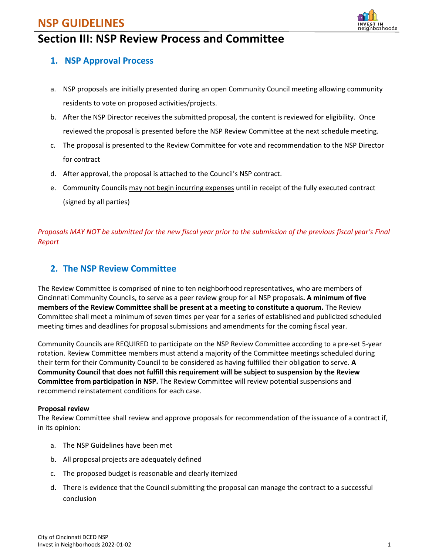# **NSP GUIDELINES**



# hborhoods

## **1. NSP Approval Process**

- a. NSP proposals are initially presented during an open Community Council meeting allowing community residents to vote on proposed activities/projects.
- b. After the NSP Director receives the submitted proposal, the content is reviewed for eligibility. Once reviewed the proposal is presented before the NSP Review Committee at the next schedule meeting.
- c. The proposal is presented to the Review Committee for vote and recommendation to the NSP Director for contract
- d. After approval, the proposal is attached to the Council's NSP contract.
- e. Community Councils may not begin incurring expenses until in receipt of the fully executed contract (signed by all parties)

*Proposals MAY NOT be submitted for the new fiscal year prior to the submission of the previous fiscal year's Final Report*

# **2. The NSP Review Committee**

The Review Committee is comprised of nine to ten neighborhood representatives, who are members of Cincinnati Community Councils, to serve as a peer review group for all NSP proposals**. A minimum of five members of the Review Committee shall be present at a meeting to constitute a quorum.** The Review Committee shall meet a minimum of seven times per year for a series of established and publicized scheduled meeting times and deadlines for proposal submissions and amendments for the coming fiscal year.

Community Councils are REQUIRED to participate on the NSP Review Committee according to a pre-set 5-year rotation. Review Committee members must attend a majority of the Committee meetings scheduled during their term for their Community Council to be considered as having fulfilled their obligation to serve. **A Community Council that does not fulfill this requirement will be subject to suspension by the Review Committee from participation in NSP.** The Review Committee will review potential suspensions and recommend reinstatement conditions for each case.

#### **Proposal review**

The Review Committee shall review and approve proposals for recommendation of the issuance of a contract if, in its opinion:

- a. The NSP Guidelines have been met
- b. All proposal projects are adequately defined
- c. The proposed budget is reasonable and clearly itemized
- d. There is evidence that the Council submitting the proposal can manage the contract to a successful conclusion